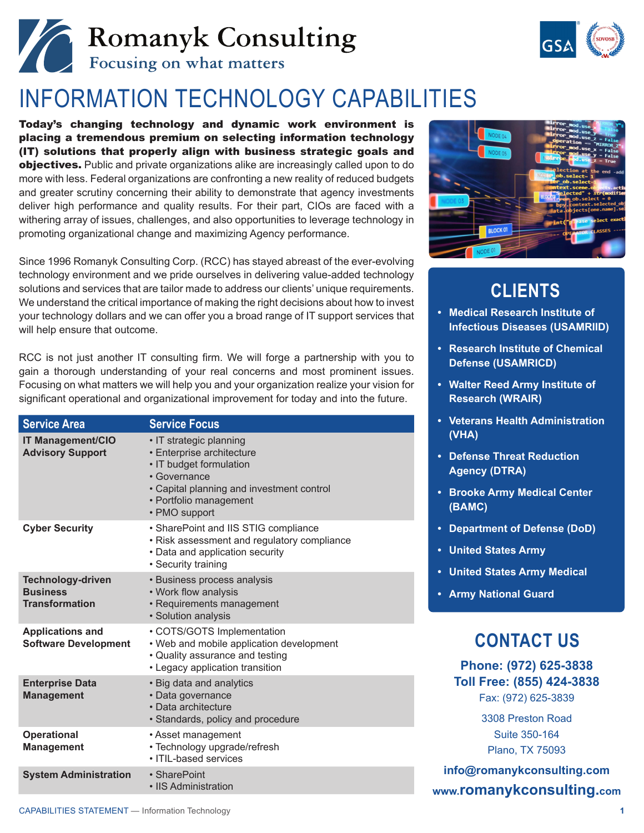# Romanyk Consulting



## INFORMATION TECHNOLOGY CAPABILITIES

Today's changing technology and dynamic work environment is placing a tremendous premium on selecting information technology (IT) solutions that properly align with business strategic goals and objectives. Public and private organizations alike are increasingly called upon to do more with less. Federal organizations are confronting a new reality of reduced budgets and greater scrutiny concerning their ability to demonstrate that agency investments deliver high performance and quality results. For their part, CIOs are faced with a withering array of issues, challenges, and also opportunities to leverage technology in promoting organizational change and maximizing Agency performance.

Since 1996 Romanyk Consulting Corp. (RCC) has stayed abreast of the ever-evolving technology environment and we pride ourselves in delivering value-added technology solutions and services that are tailor made to address our clients' unique requirements. We understand the critical importance of making the right decisions about how to invest your technology dollars and we can offer you a broad range of IT support services that will help ensure that outcome.

RCC is not just another IT consulting firm. We will forge a partnership with you to gain a thorough understanding of your real concerns and most prominent issues. Focusing on what matters we will help you and your organization realize your vision for significant operational and organizational improvement for today and into the future.

| <b>Service Area</b>                                                  | <b>Service Focus</b>                                                                                                                                                                    |
|----------------------------------------------------------------------|-----------------------------------------------------------------------------------------------------------------------------------------------------------------------------------------|
| <b>IT Management/CIO</b><br><b>Advisory Support</b>                  | • IT strategic planning<br>• Enterprise architecture<br>· IT budget formulation<br>• Governance<br>• Capital planning and investment control<br>• Portfolio management<br>• PMO support |
| <b>Cyber Security</b>                                                | • SharePoint and IIS STIG compliance<br>• Risk assessment and regulatory compliance<br>• Data and application security<br>• Security training                                           |
| <b>Technology-driven</b><br><b>Business</b><br><b>Transformation</b> | • Business process analysis<br>• Work flow analysis<br>• Requirements management<br>· Solution analysis                                                                                 |
| <b>Applications and</b><br><b>Software Development</b>               | • COTS/GOTS Implementation<br>• Web and mobile application development<br>• Quality assurance and testing<br>• Legacy application transition                                            |
| <b>Enterprise Data</b><br><b>Management</b>                          | • Big data and analytics<br>• Data governance<br>· Data architecture<br>• Standards, policy and procedure                                                                               |
| <b>Operational</b><br><b>Management</b>                              | • Asset management<br>• Technology upgrade/refresh<br>· ITIL-based services                                                                                                             |
| <b>System Administration</b>                                         | • SharePoint<br>• IIS Administration                                                                                                                                                    |



### **CLIENTS**

- **• Medical Research Institute of Infectious Diseases (USAMRIID)**
- **• Research Institute of Chemical Defense (USAMRICD)**
- **• Walter Reed Army Institute of Research (WRAIR)**
- **• Veterans Health Administration (VHA)**
- **• Defense Threat Reduction Agency (DTRA)**
- **• Brooke Army Medical Center (BAMC)**
- **• Department of Defense (DoD)**
- **• United States Army**
- **• United States Army Medical**
- **• Army National Guard**

#### **CONTACT US**

**Phone: (972) 625-3838 Toll Free: (855) 424-3838** Fax: (972) 625-3839

> 3308 Preston Road Suite 350-164 Plano, TX 75093

**[info@romanykconsulting.com](mailto:info%40romanykconsulting.com?subject=Inquiry%20regarding%20RCC%20Information%20Technology%20Capabilities) [www.romanykconsulting.com](http://www.romanykconsulting.com)**